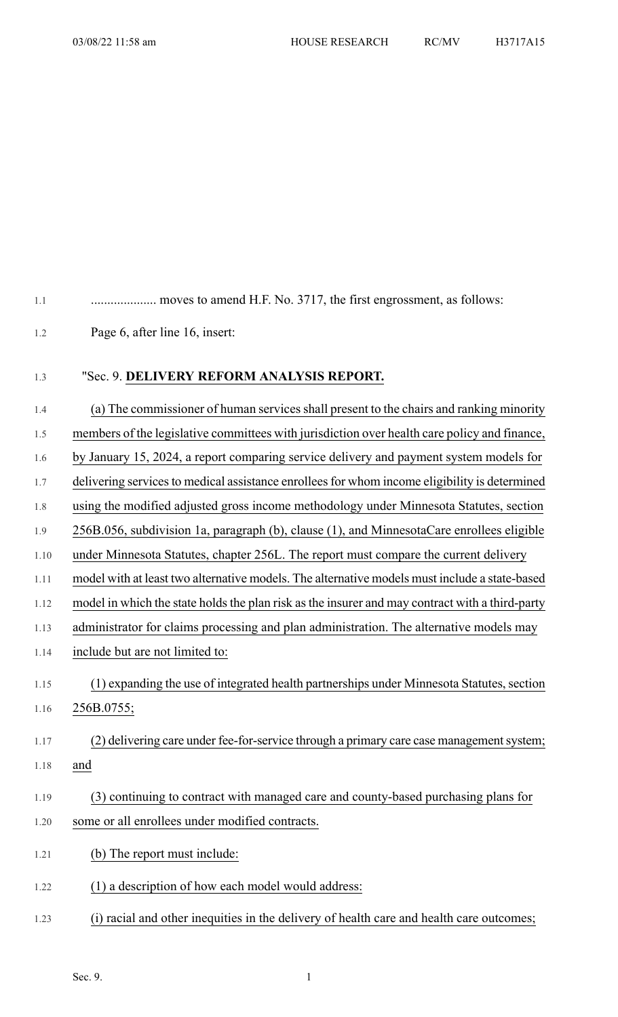1.1 .................... moves to amend H.F. No. 3717, the first engrossment, as follows:

1.2 Page 6, after line 16, insert:

1.3 "Sec. 9. **DELIVERY REFORM ANALYSIS REPORT.**

1.4 (a) The commissioner of human servicesshall present to the chairs and ranking minority

1.5 members of the legislative committees with jurisdiction over health care policy and finance,

1.6 by January 15, 2024, a report comparing service delivery and payment system models for

1.7 delivering services to medical assistance enrollees for whom income eligibility is determined

1.8 using the modified adjusted gross income methodology under Minnesota Statutes, section

1.9 256B.056, subdivision 1a, paragraph (b), clause (1), and MinnesotaCare enrollees eligible

1.10 under Minnesota Statutes, chapter 256L. The report must compare the current delivery

1.11 model with at least two alternative models. The alternative models must include a state-based

1.12 model in which the state holds the plan risk as the insurer and may contract with a third-party

1.13 administrator for claims processing and plan administration. The alternative models may

- 1.14 include but are not limited to:
- 1.15 (1) expanding the use of integrated health partnerships under Minnesota Statutes, section 1.16 256B.0755;

## 1.17 (2) delivering care under fee-for-service through a primary care case management system; 1.18 and

- 1.19 (3) continuing to contract with managed care and county-based purchasing plans for 1.20 some or all enrollees under modified contracts.
- 1.21 (b) The report must include:
- 1.22 (1) a description of how each model would address:
- 1.23 (i) racial and other inequities in the delivery of health care and health care outcomes;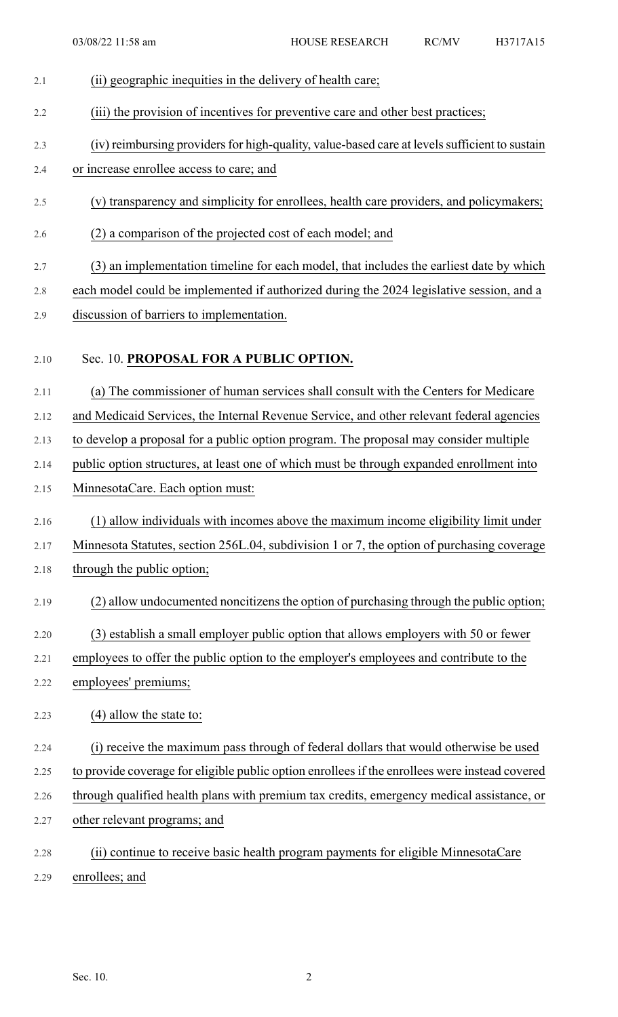## 2.1 (ii) geographic inequities in the delivery of health care; 2.2 (iii) the provision of incentives for preventive care and other best practices; 2.3 (iv) reimbursing providers for high-quality, value-based care at levels sufficient to sustain 2.4 or increase enrollee access to care; and 2.5 (v) transparency and simplicity for enrollees, health care providers, and policymakers; 2.6 (2) a comparison of the projected cost of each model; and 2.7 (3) an implementation timeline for each model, that includes the earliest date by which 2.8 each model could be implemented if authorized during the 2024 legislative session, and a 2.9 discussion of barriers to implementation. 2.10 Sec. 10. **PROPOSAL FOR A PUBLIC OPTION.** 2.11 (a) The commissioner of human services shall consult with the Centers for Medicare 2.12 and Medicaid Services, the Internal Revenue Service, and other relevant federal agencies 2.13 to develop a proposal for a public option program. The proposal may consider multiple 2.14 public option structures, at least one of which must be through expanded enrollment into

- 2.15 MinnesotaCare. Each option must:
- 2.16 (1) allow individuals with incomes above the maximum income eligibility limit under
- 2.17 Minnesota Statutes, section 256L.04, subdivision 1 or 7, the option of purchasing coverage
- 2.18 through the public option;
- 2.19 (2) allow undocumented noncitizens the option of purchasing through the public option;
- 2.20 (3) establish a small employer public option that allows employers with 50 or fewer
- 2.21 employees to offer the public option to the employer's employees and contribute to the
- 2.22 employees' premiums;
- 2.23 (4) allow the state to:
- 2.24 (i) receive the maximum pass through of federal dollars that would otherwise be used
- 2.25 to provide coverage for eligible public option enrollees if the enrollees were instead covered
- 2.26 through qualified health plans with premium tax credits, emergency medical assistance, or
- 2.27 other relevant programs; and
- 2.28 (ii) continue to receive basic health program payments for eligible MinnesotaCare 2.29 enrollees; and